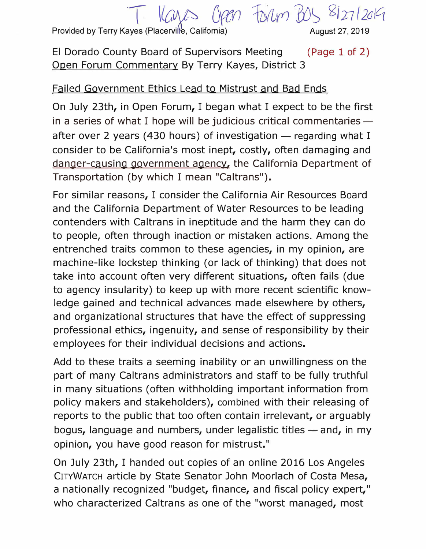Provided by Terry Kayes (Placerville, California)

*Pen*  $\frac{1}{2}$   $\frac{1}{20}$   $\frac{20K}{5}$   $\frac{8127}{2019}$   $\frac{20K}{7}$ 

El Dorado County Board of Supervisors Meeting (Page 1 of 2) Open Forum Commentary By Terry Kayes, District 3

#### Failed Government Ethics Lead to Mistrust and Bad Ends

On July 23th, in Open Forum, I began what I expect to be the first in a series of what I hope will be judicious critical commentaries  $$ after over 2 years (430 hours) of investigation  $-$  regarding what I consider to be California's most inept, costly, often damaging and danger-causing government agency, the California Department of Transportation (by which I mean "Caltrans").

For similar reasons, I consider the California Air Resources Board and the California Department of Water Resources to be leading contenders with Caltrans in ineptitude and the harm they can do to people, often through inaction or mistaken actions. Among the entrenched traits common to these agencies, in my opinion, are machine-like lockstep thinking (or lack of thinking) that does not take into account often very different situations, often fails (due to agency insularity) to keep up with more recent scientific knowledge gained and technical advances made elsewhere by others, and organizational structures that have the effect of suppressing professional ethics, ingenuity, and sense of responsibility by their employees for their individual decisions and actions.

Add to these traits a seeming inability or an unwillingness on the part of many Caltrans administrators and staff to be fully truthful in many situations (often withholding important information from policy makers and stakeholders), combined with their releasing of reports to the public that too often contain irrelevant, or arguably bogus, language and numbers, under legalistic titles - and, in my opinion, you have good reason for mistrust."

On July 23th, I handed out copies of an online 2016 Los Angeles CITYWATCH article by State Senator John Moorlach of Costa Mesa, a nationally recognized "budget, finance, and fiscal policy expert," who characterized Caltrans as one of the "worst managed, most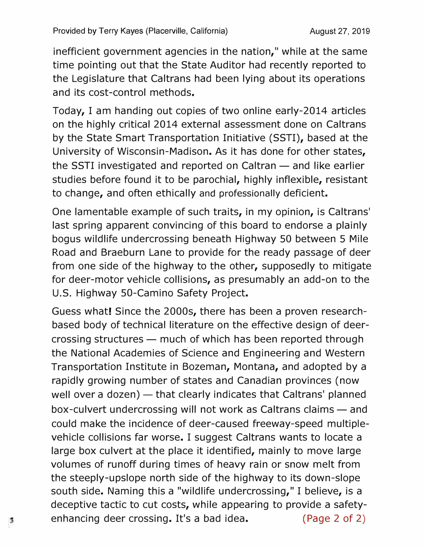inefficient government agencies in the nation," while at the same time pointing out that the State Auditor had recently reported to the Legislature that Caltrans had been lying about its operations and its cost-control methods.

Today, I am handing out copies of two online early-2014 articles on the highly critical 2014 external assessment done on Caltrans by the State Smart Transportation Initiative (SSTI), based at the University of Wisconsin-Madison. As it has done for other states, the SSTI investigated and reported on Caltran  $-$  and like earlier studies before found it to be parochial, highly inflexible, resistant to change, and often ethically and professionally deficient.

One lamentable example of such traits, in my opinion, is Caltrans' last spring apparent convincing of this board to endorse a plainly bogus wildlife undercrossing beneath Highway 50 between 5 Mile Road and Braeburn Lane to provide for the ready passage of deer from one side of the highway to the other, supposedly to mitigate for deer-motor vehicle collisions, as presumably an add-on to the U.S. Highway SO-Camino Safety Project.

Guess what! Since the 2000s, there has been a proven researchbased body of technical literature on the effective design of deercrossing structures  $-$  much of which has been reported through the National Academies of Science and Engineering and Western Transportation Institute in Bozeman, Montana, and adopted by a rapidly growing number of states and Canadian provinces (now well over a dozen)  $-$  that clearly indicates that Caltrans' planned box-culvert undercrossing will not work as Caltrans claims - and could make the incidence of deer-caused freeway-speed multiplevehicle collisions far worse. I suggest Caltrans wants to locate a large box culvert at the place it identified, mainly to move large volumes of runoff during times of heavy rain or snow melt from the steeply-upslope north side of the highway to its down-slope south side. Naming this a "wildlife undercrossing," I believe, is a deceptive tactic to cut costs, while appearing to provide a safety- **12. Enhancing deer crossing. It's a bad idea.** (Page 2 of 2)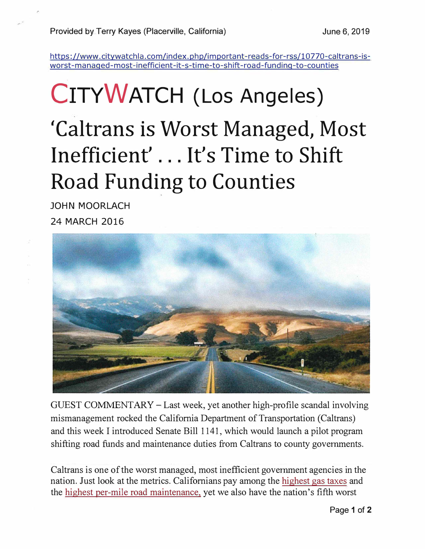https://www.citywatchla.com/index.php/important-reads-for-rss/10770-caltrans-isworst-manaqed-most-inefficient-it-s-time-to-shift-road-fundinq-to-counties

# **CITYWATCH (Los Angeles)**

**'Caltrans is Worst Managed, Most Inefficient' ... It's Time to Shift Road Funding to Counties** 

**JOHN MOORLACH 24 MARCH 2016** 



GUEST COMMENTARY -Last week, yet another high-profile scandal involving mismanagement rocked the California Department of Transportation (Caltrans) and this week I introduced Senate Bill 1141, which would launch a pilot program shifting road funds and maintenance duties from Caltrans to county governments.

Caltrans is one of the worst managed, most inefficient government agencies in the nation. Just look at the metrics. Californians pay among the highest gas taxes and the highest per-mile road maintenance, yet we also have the nation's fifth worst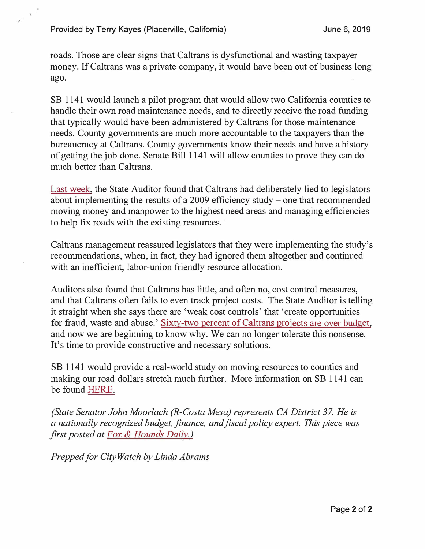roads. Those are clear signs that Caltrans is dysfunctional and wasting taxpayer money. If Caltrans was a private company, it would have been out of business long ago.

SB 1141 would launch a pilot program that would allow two California counties to handle their own road maintenance needs, and to directly receive the road funding that typically would have been administered by Caltrans for those maintenance needs. County governments are much more accountable to the taxpayers than the bureaucracy at Caltrans. County governments know their needs and have a history of getting the job done. Senate Bill 1141 will allow counties to prove they can do much better than Caltrans.

Last week, the State Auditor found that Caltrans had deliberately lied to legislators about implementing the results of a 2009 efficiency study  $-$  one that recommended moving money and manpower to the highest need areas and managing efficiencies to help fix roads with the existing resources.

Caltrans management reassured legislators that they were implementing the study's recommendations, when, in fact, they had ignored them altogether and continued with an inefficient, labor-union friendly resource allocation.

Auditors also found that Caltrans has little, and often no, cost control measures, and that Caltrans often fails to even track project costs. The State Auditor is telling it straight when she says there are 'weak cost controls' that 'create opportunities for fraud, waste and abuse.' Sixty-two percent of Caltrans projects are over budget, and now we are beginning to know why. We can no longer tolerate this nonsense. It's time to provide constructive and necessary solutions.

SB 1141 would provide a real-world study on moving resources to counties and making our road dollars stretch much further. More information on SB 1141 can be found HERE.

*(State Senator John Moorlach (R-Costa Mesa) represents CA District 37. He is a nationally recognized budget, finance, and fiscal policy expert. This piece was first posted at Fox & Hounds Daily.)* 

*Prepped for City Watch by Linda Abrams.*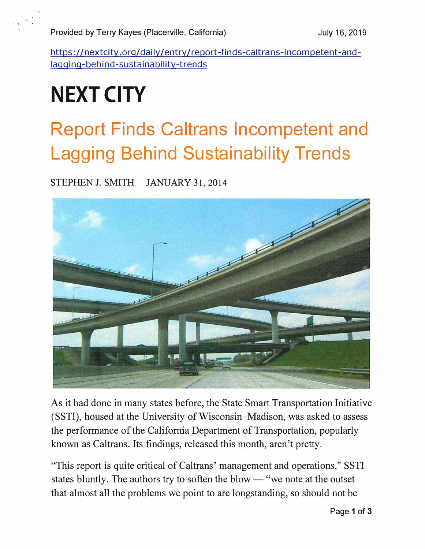Provided by Terry Kayes (Placerville, California) The Mully 16, 2019

https://nextcity.org/daily/entry/report-finds-caltrans-incompetent-andlagging-behind-sustainability-trends

## **NEXT CITY**

### **Report Finds Caltrans Incompetent and Lagging Behind Sustainability Trends**

STEPHEN J. SMITH JANUARY 31, 2014



As it had done in many states before, the State Smart Transportation Initiative (SSTI), housed at the University of Wisconsin-Madison, was asked to assess the performance of the California Department of Transportation, popularly known as Caltrans. Its findings, released this month, aren't pretty.

"This report is quite critical of Caltrans' management and operations," SSTI states bluntly. The authors try to soften the blow  $-$  "we note at the outset" that almost all the problems we point to are longstanding, so should not be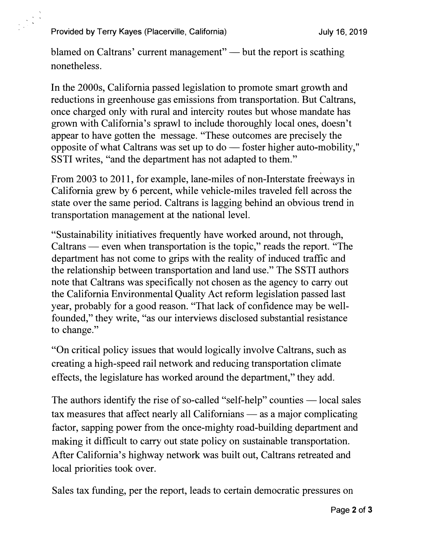Provided by Terry Kayes (Placerville, California) The Multipulary 16, 2019

blamed on Caltrans' current management" — but the report is scathing nonetheless.

In the 2000s, California passed legislation to promote smart growth and reductions in greenhouse gas emissions from transportation. But Caltrans, once charged only with rural and intercity routes but whose mandate has grown with California's sprawl to include thoroughly local ones, doesn't appear to have gotten the message. "These outcomes are precisely the opposite of what Caltrans was set up to  $do$  — foster higher auto-mobility," SSTI writes, "and the department has not adapted to them."

.From 2003 to 2011, for example, lane-miles of non-Interstate freeways in California grew by 6 percent, while vehicle-miles traveled fell across the state over the same period. Caltrans is lagging behind an obvious trend in transportation management at the national level.

"Sustainability initiatives frequently have worked around, not through, Caltrans — even when transportation is the topic," reads the report. "The department has not come to grips with the reality of induced traffic and the relationship between transportation and land use." The SSTI authors note that Caltrans was specifically not chosen as the agency to carry out the California Environmental Quality Act reform legislation passed last year, probably for a good reason. "That lack of confidence may be wellfounded," they write, "as our interviews disclosed substantial resistance to change."

"On critical policy issues that would logically involve Caltrans, such as creating a high-speed rail network and reducing transportation climate effects, the legislature has worked around the department," they add.

The authors identify the rise of so-called "self-help" counties  $-$  local sales tax measures that affect nearly all Californians  $-$  as a major complicating factor, sapping power from the once-mighty road-building department and making it difficult to carry out state policy on sustainable transportation. After California's highway network was built out, Caltrans retreated and local priorities took over.

Sales tax funding, per the report, leads to certain democratic pressures on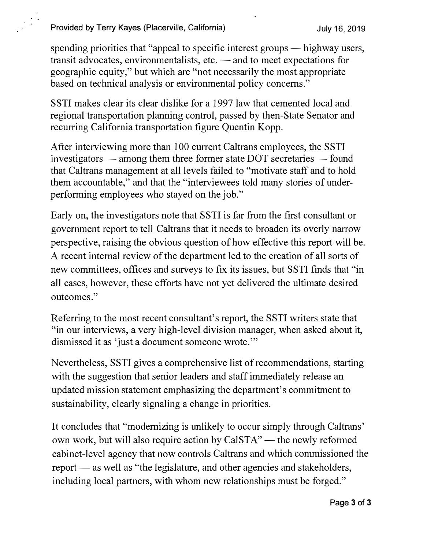spending priorities that "appeal to specific interest groups  $-$  highway users, transit advocates, environmentalists, etc.  $\frac{d}{dt}$  and to meet expectations for geographic equity," but which are "not necessarily the 1nost appropriate based on technical analysis or environmental policy concerns."

SSTI makes clear its clear dislike for a 1997 law that cemented local and regional transportation planning control, passed by then-State Senator and recurring California transportation figure Quentin Kopp.

After interviewing more than 100 current Caltrans employees, the SSTI investigators  $-$  among them three former state DOT secretaries  $-$  found that Caltrans management at all levels failed to "motivate staff and to hold them accountable," and that the "interviewees told many stories of underperforming employees who stayed on the job."

Early on, the investigators note that SSTI is far from the first consultant or government report to tell Caltrans that it needs to broaden its overly narrow perspective, raising the obvious question of how effective this report will be. A recent internal review of the department led to the creation of all sorts of new committees, offices and surveys to fix its issues, but SSTI finds that "in all cases, however, these efforts have not yet delivered the ultimate desired outcomes."

Referring to the most recent consultant's report, the SSTI writers state that "in our interviews, a very high-level division manager, when asked about it, dismissed it as 'just a document someone wrote."'

Nevertheless, SSTI gives a comprehensive list of recommendations, starting with the suggestion that senior leaders and staff immediately release an updated mission statement emphasizing the department's commitment to sustainability, clearly signaling a change in priorities.

It concludes that "modernizing is unlikely to occur simply through Caltrans' own work, but will also require action by  $CaISTA''$  — the newly reformed cabinet-level agency that now controls Caltrans and which commissioned the report — as well as "the legislature, and other agencies and stakeholders, including local partners, with whom new relationships must be forged."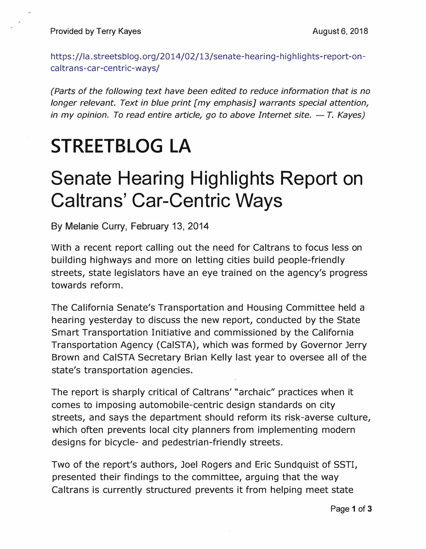https ://la .streetsblog .org/2014/02/13/senate-hearing-highlights-report-oncaltrans-car-centric-ways/

*(Parts of the following text have been edited to reduce information that is no longer relevant. Text in blue print [my emphasis] warrants special attention, in my opinion. To read entire article, go to above Internet site.*  $-$  *T. Kayes)* 

#### **STREETBLOG LA**

#### **Senate Hearing Highlights Report on Caltrans' Car-Centric Ways**

By Melanie Curry, February 13, 2014

With a recent report calling out the need for Caltrans to focus less on building highways and more on letting cities build people-friendly streets, state legislators have an eye trained on the agency's progress towards reform.

The California Senate's Transportation and Housing Committee held a hearing yesterday to discuss the new report, conducted by the State Smart Transportation Initiative and commissioned by the California Transportation Agency (CalSTA), which was formed by Governor Jerry Brown and CalSTA Secretary Brian Kelly last year to oversee all of the state's transportation agencies.

The report is sharply critical of Caltrans' "archaic" practices when it comes to imposing automobile-centric design standards on city streets, and says the department should reform its risk-averse culture, which often prevents local city planners from implementing modern designs for bicycle- and pedestrian-friendly streets.

Two of the report's authors, Joel Rogers and Eric Sundquist of SST!, presented their findings to the committee, arguing that the way Caltrans is currently structured prevents it from helping meet state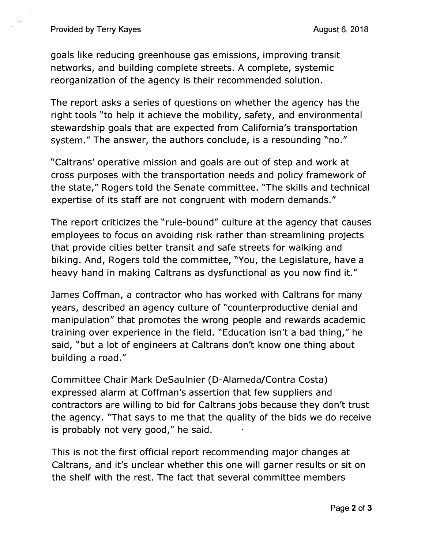goals like reducing greenhouse gas emissions, improving transit networks, and building complete streets. A complete, systemic reorganization of the agency is their recommended solution.

The report asks a series of questions on whether the agency has the right tools "to help it achieve the mobility, safety, and environmental stewardship goals that are expected from California's transportation system." The answer, the authors conclude, is a resounding "no."

"Caltrans' operative mission and goals are out of step and work at cross purposes with the transportation needs and policy framework of the state," Rogers told the Senate committee. "The skills and technical expertise of its staff are not congruent with modern demands."

The report criticizes the "rule-bound" culture at the agency that causes employees to focus on avoiding risk rather than streamlining projects that provide cities better transit and safe streets for walking and biking. And, Rogers told the committee, "You, the Legislature, have a heavy hand in making Caltrans as dysfunctional as you now find it."

James Coffman, a contractor who has worked with Caltrans for many years, described an agency culture of "counterproductive denial and manipulation" that promotes the wrong people and rewards academic training over experience in the field. "Education isn't a bad thing," he said, "but a lot of engineers at Caltrans don't know one thing about building a road."

Committee Chair Mark DeSaulnier (D-Alameda/Contra Costa) expressed alarm at Coffman's assertion that few suppliers and contractors are willing to bid for Caltrans jobs because they don't trust the agency. "That says to me that the quality of the bids we do receive is probably not very good," he said.

This is not the first official report recommending major changes at Caltrans, and it's unclear whether this one will garner results or sit on the shelf with the rest. The fact that several committee members